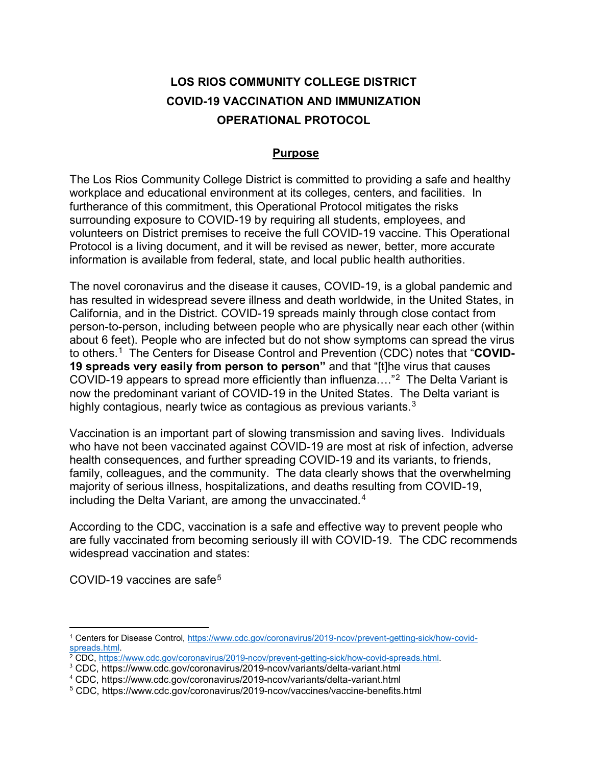# **LOS RIOS COMMUNITY COLLEGE DISTRICT COVID-19 VACCINATION AND IMMUNIZATION OPERATIONAL PROTOCOL**

#### **Purpose**

The Los Rios Community College District is committed to providing a safe and healthy workplace and educational environment at its colleges, centers, and facilities. In furtherance of this commitment, this Operational Protocol mitigates the risks surrounding exposure to COVID-19 by requiring all students, employees, and volunteers on District premises to receive the full COVID-19 vaccine. This Operational Protocol is a living document, and it will be revised as newer, better, more accurate information is available from federal, state, and local public health authorities.

The novel coronavirus and the disease it causes, COVID-19, is a global pandemic and has resulted in widespread severe illness and death worldwide, in the United States, in California, and in the District. COVID-19 spreads mainly through close contact from person-to-person, including between people who are physically near each other (within about 6 feet). People who are infected but do not show symptoms can spread the virus to others.[1](#page-0-0) The Centers for Disease Control and Prevention (CDC) notes that "**COVID-19 spreads very easily from person to person"** and that "[t]he virus that causes COVID-19 appears to spread more efficiently than influenza…."[2](#page-0-1) The Delta Variant is now the predominant variant of COVID-19 in the United States. The Delta variant is highly contagious, nearly twice as contagious as previous variants.<sup>[3](#page-0-2)</sup>

Vaccination is an important part of slowing transmission and saving lives. Individuals who have not been vaccinated against COVID-19 are most at risk of infection, adverse health consequences, and further spreading COVID-19 and its variants, to friends, family, colleagues, and the community. The data clearly shows that the overwhelming majority of serious illness, hospitalizations, and deaths resulting from COVID-19, including the Delta Variant, are among the unvaccinated.<sup>[4](#page-0-3)</sup>

According to the CDC, vaccination is a safe and effective way to prevent people who are fully vaccinated from becoming seriously ill with COVID-19. The CDC recommends widespread vaccination and states:

COVID-19 vaccines are safe<sup>[5](#page-0-4)</sup>

 $\overline{a}$ 

<span id="page-0-0"></span><sup>1</sup> Centers for Disease Control, [https://www.cdc.gov/coronavirus/2019-ncov/prevent-getting-sick/how-covid](https://www.cdc.gov/coronavirus/2019-ncov/prevent-getting-sick/how-covid-spreads.html)[spreads.html.](https://www.cdc.gov/coronavirus/2019-ncov/prevent-getting-sick/how-covid-spreads.html)

<span id="page-0-1"></span><sup>&</sup>lt;sup>2</sup> CDC, [https://www.cdc.gov/coronavirus/2019-ncov/prevent-getting-sick/how-covid-spreads.html.](https://www.cdc.gov/coronavirus/2019-ncov/prevent-getting-sick/how-covid-spreads.html)

<span id="page-0-2"></span><sup>3</sup> CDC, https://www.cdc.gov/coronavirus/2019-ncov/variants/delta-variant.html

<span id="page-0-3"></span><sup>4</sup> CDC, https://www.cdc.gov/coronavirus/2019-ncov/variants/delta-variant.html

<span id="page-0-4"></span><sup>5</sup> CDC, https://www.cdc.gov/coronavirus/2019-ncov/vaccines/vaccine-benefits.html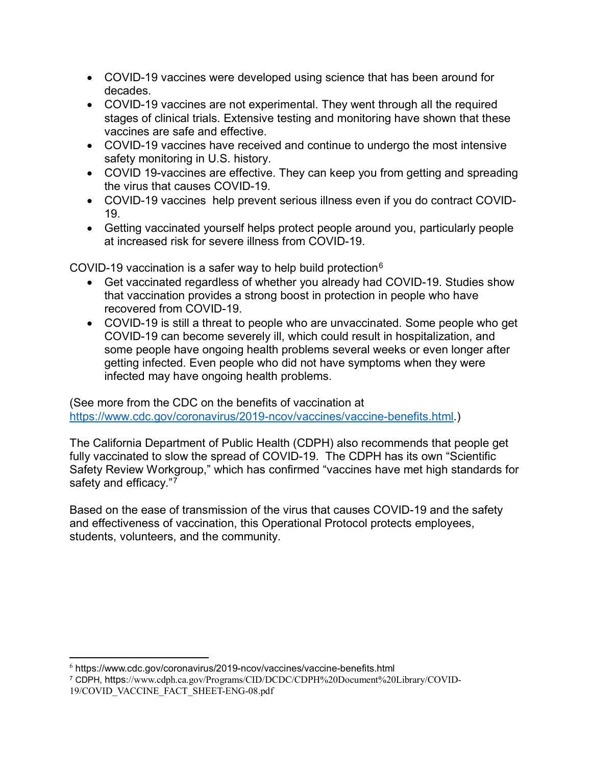- COVID-19 vaccines were developed using science that has been around for decades.
- COVID-19 vaccines are not experimental. They went through all the required stages of clinical trials. Extensive testing and monitoring have shown that these vaccines are safe and effective.
- COVID-19 vaccines have received and continue to undergo the most intensive safety monitoring in U.S. history.
- COVID 19-vaccines are effective. They can keep you from getting and spreading the virus that causes COVID-19.
- COVID-19 vaccines help prevent serious illness even if you do contract COVID-19.
- Getting vaccinated yourself helps protect people around you, particularly people at increased risk for severe illness from COVID-19.

COVID-19 vaccination is a safer way to help build protection $6$ 

- Get vaccinated regardless of whether you already had COVID-19. Studies show that vaccination provides a strong boost in protection in people who have recovered from COVID-19.
- COVID-19 is still a threat to people who are unvaccinated. Some people who get COVID-19 can become severely ill, which could result in hospitalization, and some people have ongoing health problems several weeks or even longer after getting infected. Even people who did not have symptoms when they were infected may have ongoing health problems.

(See more from the CDC on the benefits of vaccination at [https://www.cdc.gov/coronavirus/2019-ncov/vaccines/vaccine-benefits.html.](https://www.cdc.gov/coronavirus/2019-ncov/vaccines/vaccine-benefits.html))

The California Department of Public Health (CDPH) also recommends that people get fully vaccinated to slow the spread of COVID-19. The CDPH has its own "Scientific Safety Review Workgroup," which has confirmed "vaccines have met high standards for safety and efficacy."<sup>7</sup>

Based on the ease of transmission of the virus that causes COVID-19 and the safety and effectiveness of vaccination, this Operational Protocol protects employees, students, volunteers, and the community.

<span id="page-1-0"></span> $\overline{a}$ <sup>6</sup> https://www.cdc.gov/coronavirus/2019-ncov/vaccines/vaccine-benefits.html

<span id="page-1-1"></span><sup>7</sup> CDPH, https://www.cdph.ca.gov/Programs/CID/DCDC/CDPH%20Document%20Library/COVID-19/COVID\_VACCINE\_FACT\_SHEET-ENG-08.pdf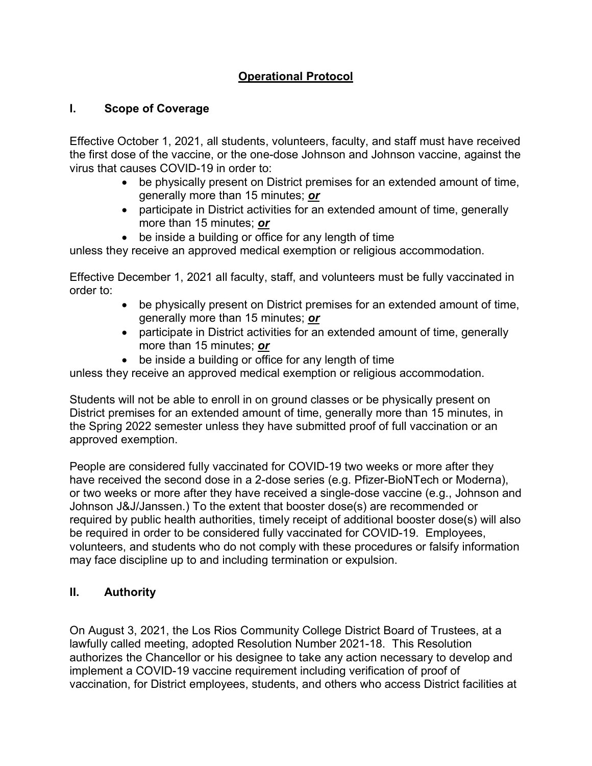### **Operational Protocol**

#### **I. Scope of Coverage**

Effective October 1, 2021, all students, volunteers, faculty, and staff must have received the first dose of the vaccine, or the one-dose Johnson and Johnson vaccine, against the virus that causes COVID-19 in order to:

- be physically present on District premises for an extended amount of time, generally more than 15 minutes; *or*
- participate in District activities for an extended amount of time, generally more than 15 minutes; *or*
- be inside a building or office for any length of time

unless they receive an approved medical exemption or religious accommodation.

Effective December 1, 2021 all faculty, staff, and volunteers must be fully vaccinated in order to:

- be physically present on District premises for an extended amount of time, generally more than 15 minutes; *or*
- participate in District activities for an extended amount of time, generally more than 15 minutes; *or*
- be inside a building or office for any length of time

unless they receive an approved medical exemption or religious accommodation.

Students will not be able to enroll in on ground classes or be physically present on District premises for an extended amount of time, generally more than 15 minutes, in the Spring 2022 semester unless they have submitted proof of full vaccination or an approved exemption.

People are considered fully vaccinated for COVID-19 two weeks or more after they have received the second dose in a 2-dose series (e.g. Pfizer-BioNTech or Moderna), or two weeks or more after they have received a single-dose vaccine (e.g., Johnson and Johnson J&J/Janssen.) To the extent that booster dose(s) are recommended or required by public health authorities, timely receipt of additional booster dose(s) will also be required in order to be considered fully vaccinated for COVID-19. Employees, volunteers, and students who do not comply with these procedures or falsify information may face discipline up to and including termination or expulsion.

#### **II. Authority**

On August 3, 2021, the Los Rios Community College District Board of Trustees, at a lawfully called meeting, adopted Resolution Number 2021-18. This Resolution authorizes the Chancellor or his designee to take any action necessary to develop and implement a COVID-19 vaccine requirement including verification of proof of vaccination, for District employees, students, and others who access District facilities at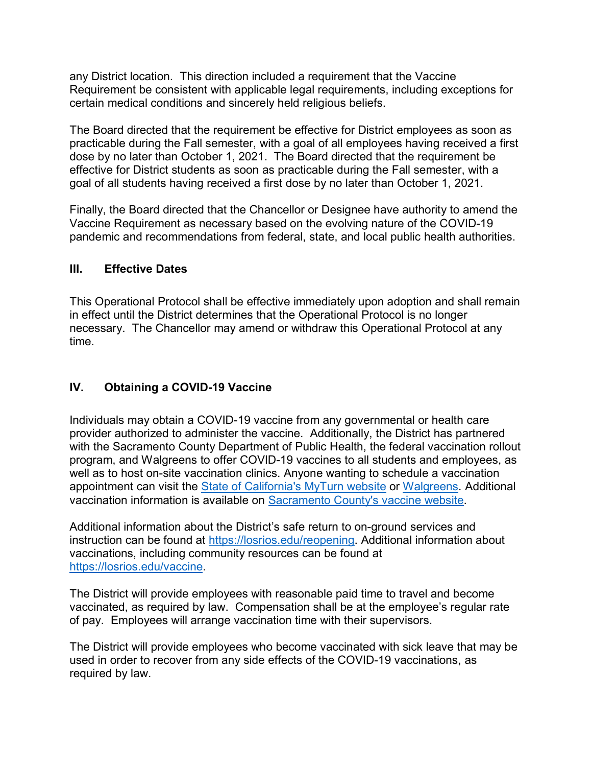any District location. This direction included a requirement that the Vaccine Requirement be consistent with applicable legal requirements, including exceptions for certain medical conditions and sincerely held religious beliefs.

The Board directed that the requirement be effective for District employees as soon as practicable during the Fall semester, with a goal of all employees having received a first dose by no later than October 1, 2021. The Board directed that the requirement be effective for District students as soon as practicable during the Fall semester, with a goal of all students having received a first dose by no later than October 1, 2021.

Finally, the Board directed that the Chancellor or Designee have authority to amend the Vaccine Requirement as necessary based on the evolving nature of the COVID-19 pandemic and recommendations from federal, state, and local public health authorities.

#### **III. Effective Dates**

This Operational Protocol shall be effective immediately upon adoption and shall remain in effect until the District determines that the Operational Protocol is no longer necessary. The Chancellor may amend or withdraw this Operational Protocol at any time.

### **IV. Obtaining a COVID-19 Vaccine**

Individuals may obtain a COVID-19 vaccine from any governmental or health care provider authorized to administer the vaccine. Additionally, the District has partnered with the Sacramento County Department of Public Health, the federal vaccination rollout program, and Walgreens to offer COVID-19 vaccines to all students and employees, as well as to host on-site vaccination clinics. Anyone wanting to schedule a vaccination appointment can visit the [State of California's MyTurn website](https://myturn.ca.gov/) or [Walgreens.](https://www.walgreens.com/) Additional vaccination information is available on [Sacramento County's vaccine website.](https://dhs.saccounty.net/PUB/Pages/Communicable-Disease-Control/Vaccine-Registration-for-Eligible-Individuals-in-Sacramento-County.aspx)

Additional information about the District's safe return to on-ground services and instruction can be found at [https://losrios.edu/reopening.](https://losrios.edu/reopening) Additional information about vaccinations, including community resources can be found at [https://losrios.edu/vaccine.](https://losrios.edu/vaccine)

The District will provide employees with reasonable paid time to travel and become vaccinated, as required by law. Compensation shall be at the employee's regular rate of pay. Employees will arrange vaccination time with their supervisors.

The District will provide employees who become vaccinated with sick leave that may be used in order to recover from any side effects of the COVID-19 vaccinations, as required by law.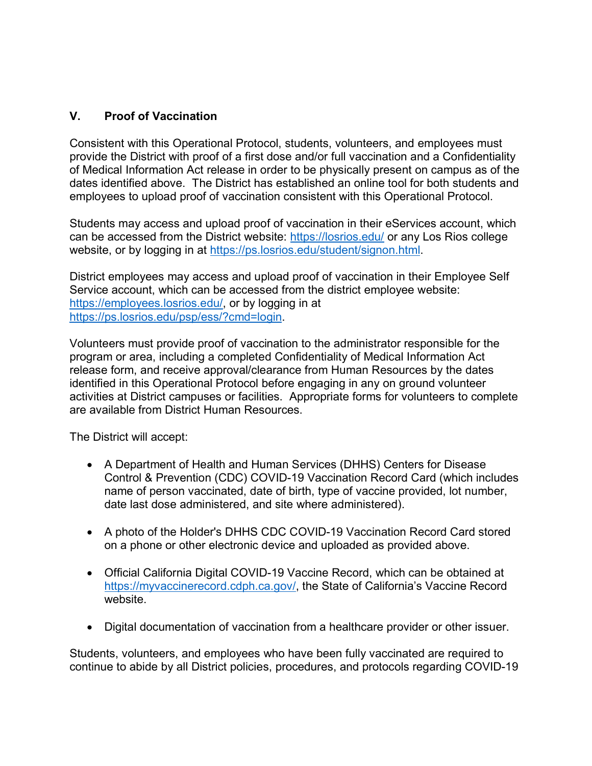### **V. Proof of Vaccination**

Consistent with this Operational Protocol, students, volunteers, and employees must provide the District with proof of a first dose and/or full vaccination and a Confidentiality of Medical Information Act release in order to be physically present on campus as of the dates identified above. The District has established an online tool for both students and employees to upload proof of vaccination consistent with this Operational Protocol.

Students may access and upload proof of vaccination in their eServices account, which can be accessed from the District website:<https://losrios.edu/> or any Los Rios college website, or by logging in at [https://ps.losrios.edu/student/signon.html.](https://ps.losrios.edu/student/signon.html)

District employees may access and upload proof of vaccination in their Employee Self Service account, which can be accessed from the district employee website: [https://employees.losrios.edu/,](https://employees.losrios.edu/) or by logging in at [https://ps.losrios.edu/psp/ess/?cmd=login.](https://ps.losrios.edu/psp/ess/?cmd=login)

Volunteers must provide proof of vaccination to the administrator responsible for the program or area, including a completed Confidentiality of Medical Information Act release form, and receive approval/clearance from Human Resources by the dates identified in this Operational Protocol before engaging in any on ground volunteer activities at District campuses or facilities. Appropriate forms for volunteers to complete are available from District Human Resources.

The District will accept:

- A Department of Health and Human Services (DHHS) Centers for Disease Control & Prevention (CDC) COVID-19 Vaccination Record Card (which includes name of person vaccinated, date of birth, type of vaccine provided, lot number, date last dose administered, and site where administered).
- A photo of the Holder's DHHS CDC COVID-19 Vaccination Record Card stored on a phone or other electronic device and uploaded as provided above.
- Official California Digital COVID-19 Vaccine Record, which can be obtained at [https://myvaccinerecord.cdph.ca.gov/,](https://myvaccinerecord.cdph.ca.gov/) the State of California's Vaccine Record website.
- Digital documentation of vaccination from a healthcare provider or other issuer.

Students, volunteers, and employees who have been fully vaccinated are required to continue to abide by all District policies, procedures, and protocols regarding COVID-19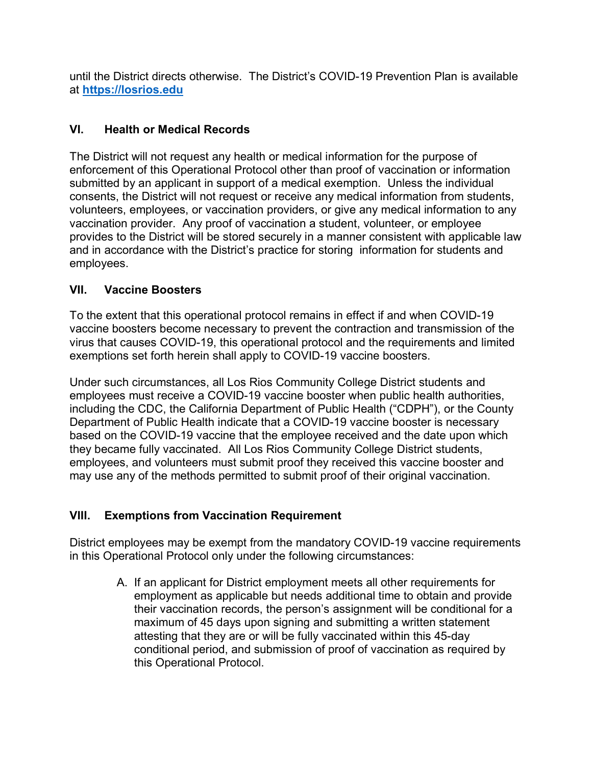until the District directs otherwise. The District's COVID-19 Prevention Plan is available at **[https://losrios.edu](https://losrios.edu/)**

### **VI. Health or Medical Records**

The District will not request any health or medical information for the purpose of enforcement of this Operational Protocol other than proof of vaccination or information submitted by an applicant in support of a medical exemption. Unless the individual consents, the District will not request or receive any medical information from students, volunteers, employees, or vaccination providers, or give any medical information to any vaccination provider. Any proof of vaccination a student, volunteer, or employee provides to the District will be stored securely in a manner consistent with applicable law and in accordance with the District's practice for storing information for students and employees.

### **VII. Vaccine Boosters**

To the extent that this operational protocol remains in effect if and when COVID-19 vaccine boosters become necessary to prevent the contraction and transmission of the virus that causes COVID-19, this operational protocol and the requirements and limited exemptions set forth herein shall apply to COVID-19 vaccine boosters.

Under such circumstances, all Los Rios Community College District students and employees must receive a COVID-19 vaccine booster when public health authorities, including the CDC, the California Department of Public Health ("CDPH"), or the County Department of Public Health indicate that a COVID-19 vaccine booster is necessary based on the COVID-19 vaccine that the employee received and the date upon which they became fully vaccinated. All Los Rios Community College District students, employees, and volunteers must submit proof they received this vaccine booster and may use any of the methods permitted to submit proof of their original vaccination.

# **VIII. Exemptions from Vaccination Requirement**

District employees may be exempt from the mandatory COVID-19 vaccine requirements in this Operational Protocol only under the following circumstances:

> A. If an applicant for District employment meets all other requirements for employment as applicable but needs additional time to obtain and provide their vaccination records, the person's assignment will be conditional for a maximum of 45 days upon signing and submitting a written statement attesting that they are or will be fully vaccinated within this 45-day conditional period, and submission of proof of vaccination as required by this Operational Protocol.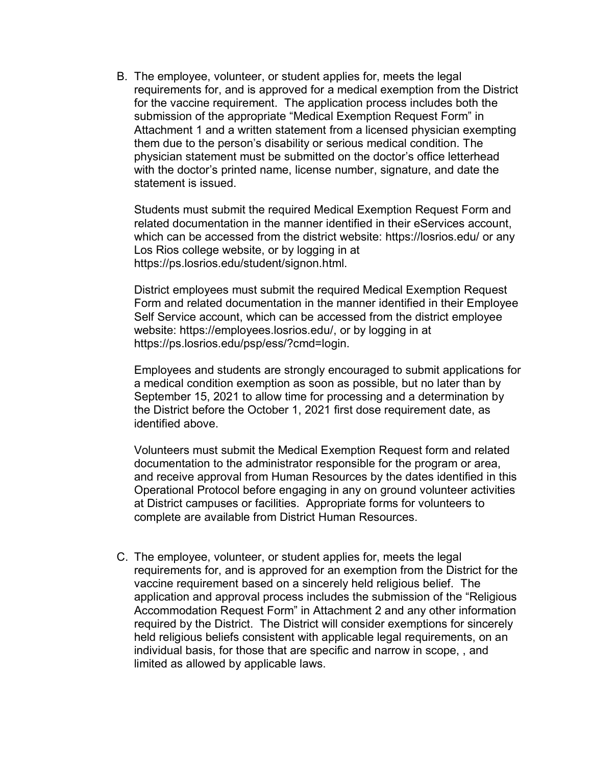B. The employee, volunteer, or student applies for, meets the legal requirements for, and is approved for a medical exemption from the District for the vaccine requirement. The application process includes both the submission of the appropriate "Medical Exemption Request Form" in Attachment 1 and a written statement from a licensed physician exempting them due to the person's disability or serious medical condition. The physician statement must be submitted on the doctor's office letterhead with the doctor's printed name, license number, signature, and date the statement is issued.

Students must submit the required Medical Exemption Request Form and related documentation in the manner identified in their eServices account, which can be accessed from the district website: https://losrios.edu/ or any Los Rios college website, or by logging in at https://ps.losrios.edu/student/signon.html.

District employees must submit the required Medical Exemption Request Form and related documentation in the manner identified in their Employee Self Service account, which can be accessed from the district employee website: https://employees.losrios.edu/, or by logging in at https://ps.losrios.edu/psp/ess/?cmd=login.

Employees and students are strongly encouraged to submit applications for a medical condition exemption as soon as possible, but no later than by September 15, 2021 to allow time for processing and a determination by the District before the October 1, 2021 first dose requirement date, as identified above.

Volunteers must submit the Medical Exemption Request form and related documentation to the administrator responsible for the program or area, and receive approval from Human Resources by the dates identified in this Operational Protocol before engaging in any on ground volunteer activities at District campuses or facilities. Appropriate forms for volunteers to complete are available from District Human Resources.

C. The employee, volunteer, or student applies for, meets the legal requirements for, and is approved for an exemption from the District for the vaccine requirement based on a sincerely held religious belief. The application and approval process includes the submission of the "Religious Accommodation Request Form" in Attachment 2 and any other information required by the District. The District will consider exemptions for sincerely held religious beliefs consistent with applicable legal requirements, on an individual basis, for those that are specific and narrow in scope, , and limited as allowed by applicable laws.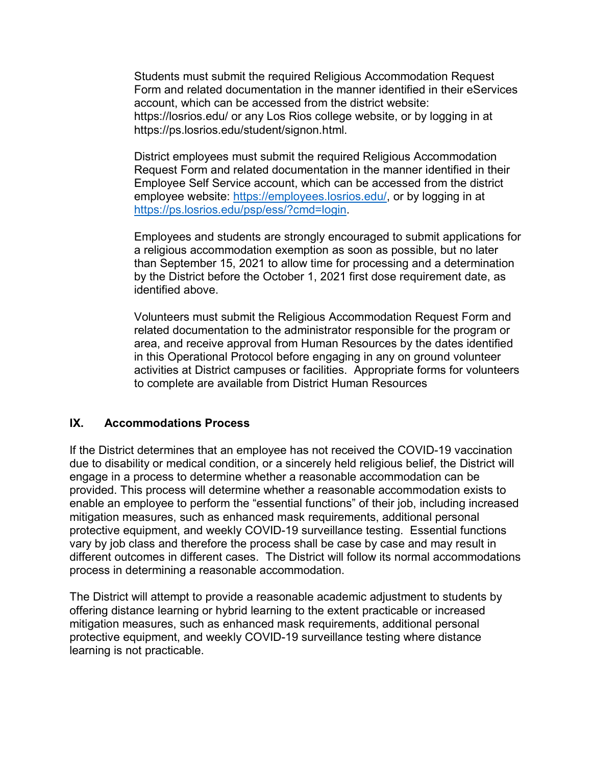Students must submit the required Religious Accommodation Request Form and related documentation in the manner identified in their eServices account, which can be accessed from the district website: https://losrios.edu/ or any Los Rios college website, or by logging in at https://ps.losrios.edu/student/signon.html.

District employees must submit the required Religious Accommodation Request Form and related documentation in the manner identified in their Employee Self Service account, which can be accessed from the district employee website: [https://employees.losrios.edu/,](https://employees.losrios.edu/) or by logging in at [https://ps.losrios.edu/psp/ess/?cmd=login.](https://ps.losrios.edu/psp/ess/?cmd=login)

Employees and students are strongly encouraged to submit applications for a religious accommodation exemption as soon as possible, but no later than September 15, 2021 to allow time for processing and a determination by the District before the October 1, 2021 first dose requirement date, as identified above.

Volunteers must submit the Religious Accommodation Request Form and related documentation to the administrator responsible for the program or area, and receive approval from Human Resources by the dates identified in this Operational Protocol before engaging in any on ground volunteer activities at District campuses or facilities. Appropriate forms for volunteers to complete are available from District Human Resources

#### **IX. Accommodations Process**

If the District determines that an employee has not received the COVID-19 vaccination due to disability or medical condition, or a sincerely held religious belief, the District will engage in a process to determine whether a reasonable accommodation can be provided. This process will determine whether a reasonable accommodation exists to enable an employee to perform the "essential functions" of their job, including increased mitigation measures, such as enhanced mask requirements, additional personal protective equipment, and weekly COVID-19 surveillance testing. Essential functions vary by job class and therefore the process shall be case by case and may result in different outcomes in different cases. The District will follow its normal accommodations process in determining a reasonable accommodation.

The District will attempt to provide a reasonable academic adjustment to students by offering distance learning or hybrid learning to the extent practicable or increased mitigation measures, such as enhanced mask requirements, additional personal protective equipment, and weekly COVID-19 surveillance testing where distance learning is not practicable.